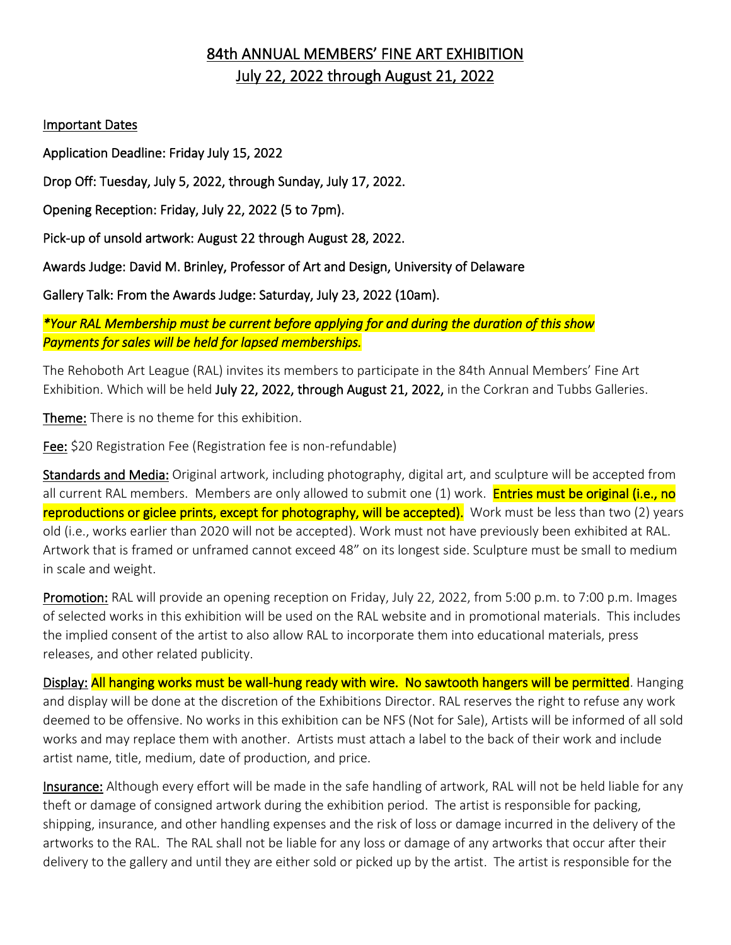# 84th ANNUAL MEMBERS' FINE ART EXHIBITION July 22, 2022 through August 21, 2022

#### Important Dates

Application Deadline: Friday July 15, 2022

Drop Off: Tuesday, July 5, 2022, through Sunday, July 17, 2022.

Opening Reception: Friday, July 22, 2022 (5 to 7pm).

Pick-up of unsold artwork: August 22 through August 28, 2022.

Awards Judge: David M. Brinley, Professor of Art and Design, University of Delaware

Gallery Talk: From the Awards Judge: Saturday, July 23, 2022 (10am).

*\*Your RAL Membership must be current before applying for and during the duration of this show Payments for sales will be held for lapsed memberships.* 

The Rehoboth Art League (RAL) invites its members to participate in the 84th Annual Members' Fine Art Exhibition. Which will be held July 22, 2022, through August 21, 2022, in the Corkran and Tubbs Galleries.

Theme: There is no theme for this exhibition.

Fee: \$20 Registration Fee (Registration fee is non-refundable)

Standards and Media: Original artwork, including photography, digital art, and sculpture will be accepted from all current RAL members. Members are only allowed to submit one (1) work. Entries must be original (i.e., no reproductions or giclee prints, except for photography, will be accepted). Work must be less than two (2) years old (i.e., works earlier than 2020 will not be accepted). Work must not have previously been exhibited at RAL. Artwork that is framed or unframed cannot exceed 48" on its longest side. Sculpture must be small to medium in scale and weight.

Promotion: RAL will provide an opening reception on Friday, July 22, 2022, from 5:00 p.m. to 7:00 p.m. Images of selected works in this exhibition will be used on the RAL website and in promotional materials. This includes the implied consent of the artist to also allow RAL to incorporate them into educational materials, press releases, and other related publicity.

Display: All hanging works must be wall-hung ready with wire. No sawtooth hangers will be permitted. Hanging and display will be done at the discretion of the Exhibitions Director. RAL reserves the right to refuse any work deemed to be offensive. No works in this exhibition can be NFS (Not for Sale), Artists will be informed of all sold works and may replace them with another. Artists must attach a label to the back of their work and include artist name, title, medium, date of production, and price.

Insurance: Although every effort will be made in the safe handling of artwork, RAL will not be held liable for any theft or damage of consigned artwork during the exhibition period. The artist is responsible for packing, shipping, insurance, and other handling expenses and the risk of loss or damage incurred in the delivery of the artworks to the RAL. The RAL shall not be liable for any loss or damage of any artworks that occur after their delivery to the gallery and until they are either sold or picked up by the artist. The artist is responsible for the